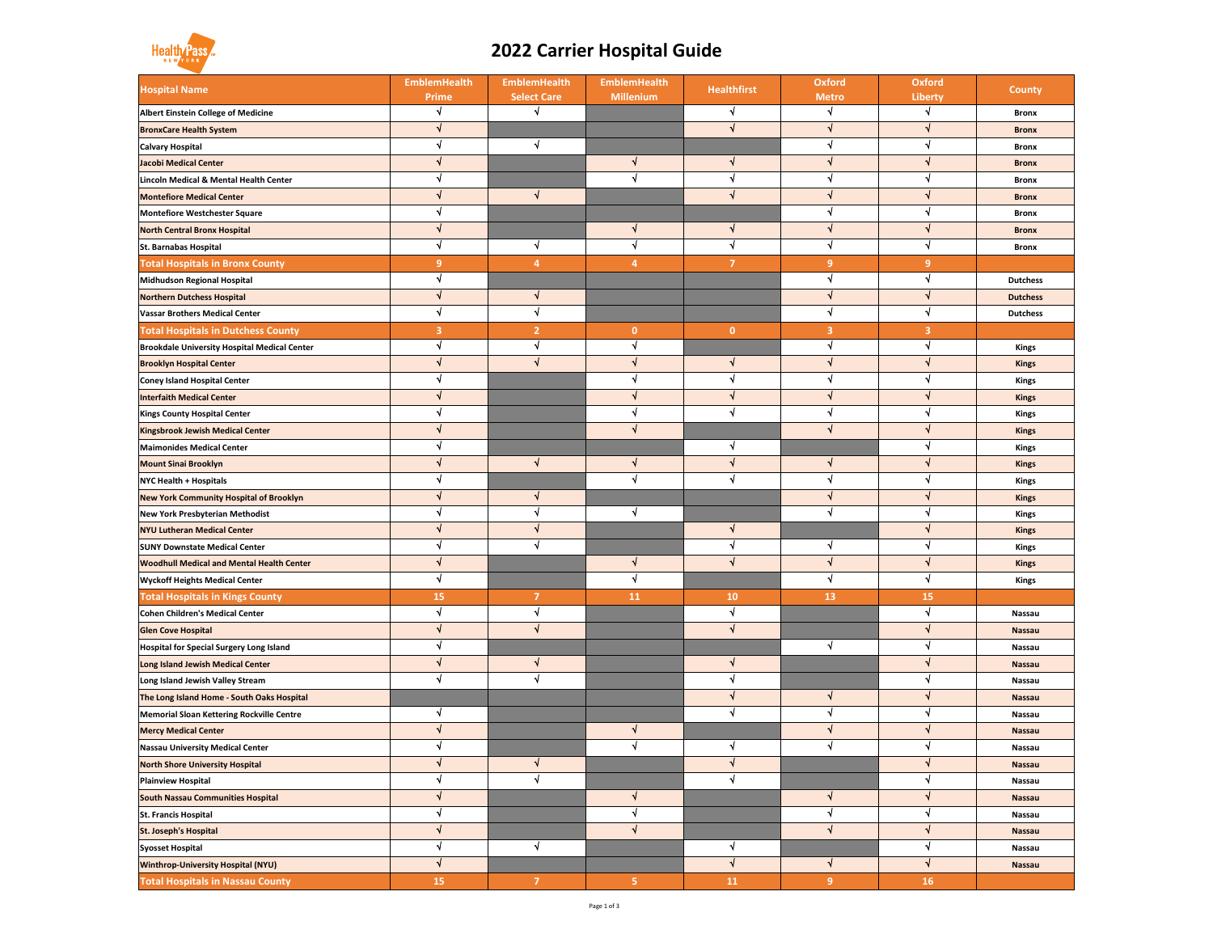| <b>Hospital Name</b>                                | <b>EmblemHealth</b><br><b>Prime</b> | <b>EmblemHealth</b><br><b>Select Care</b> | <b>EmblemHealth</b><br><b>Millenium</b> | <b>Healthfirst</b> | <b>Oxford</b><br><b>Metro</b> | <b>Oxford</b><br><b>Liberty</b> | <b>County</b>   |
|-----------------------------------------------------|-------------------------------------|-------------------------------------------|-----------------------------------------|--------------------|-------------------------------|---------------------------------|-----------------|
| <b>Albert Einstein College of Medicine</b>          |                                     |                                           |                                         |                    |                               |                                 | <b>Bronx</b>    |
| <b>BronxCare Health System</b>                      |                                     |                                           |                                         |                    |                               |                                 | <b>Bronx</b>    |
| <b>Calvary Hospital</b>                             |                                     |                                           |                                         |                    |                               |                                 | <b>Bronx</b>    |
| <b>Jacobi Medical Center</b>                        |                                     |                                           |                                         |                    |                               |                                 | <b>Bronx</b>    |
| <b>Lincoln Medical &amp; Mental Health Center</b>   |                                     |                                           |                                         |                    |                               |                                 | <b>Bronx</b>    |
| <b>Montefiore Medical Center</b>                    |                                     |                                           |                                         |                    |                               |                                 | <b>Bronx</b>    |
| <b>Montefiore Westchester Square</b>                |                                     |                                           |                                         |                    |                               |                                 | <b>Bronx</b>    |
| <b>North Central Bronx Hospital</b>                 |                                     |                                           |                                         |                    |                               |                                 | <b>Bronx</b>    |
| <b>St. Barnabas Hospital</b>                        |                                     |                                           |                                         |                    |                               |                                 | <b>Bronx</b>    |
| <b>Total Hospitals in Bronx County</b>              | 9                                   | $\boldsymbol{4}$                          | 4                                       | $\overline{7}$     | 9                             | 9                               |                 |
| <b>Midhudson Regional Hospital</b>                  |                                     |                                           |                                         |                    |                               |                                 | <b>Dutchess</b> |
| <b>Northern Dutchess Hospital</b>                   |                                     |                                           |                                         |                    |                               |                                 | <b>Dutchess</b> |
| <b>Vassar Brothers Medical Center</b>               |                                     |                                           |                                         |                    |                               |                                 | <b>Dutchess</b> |
| <b>Total Hospitals in Dutchess County</b>           | $\overline{3}$                      | $\overline{2}$                            | $\mathbf{0}$                            | $\mathbf{0}$       | $\overline{\mathbf{3}}$       | $\overline{3}$                  |                 |
| <b>Brookdale University Hospital Medical Center</b> |                                     |                                           |                                         |                    |                               |                                 | <b>Kings</b>    |
| <b>Brooklyn Hospital Center</b>                     |                                     |                                           |                                         |                    |                               |                                 | <b>Kings</b>    |
| <b>Coney Island Hospital Center</b>                 |                                     |                                           |                                         |                    |                               |                                 | <b>Kings</b>    |
| <b>Interfaith Medical Center</b>                    |                                     |                                           |                                         |                    |                               |                                 | <b>Kings</b>    |
| <b>Kings County Hospital Center</b>                 |                                     |                                           |                                         |                    |                               |                                 | <b>Kings</b>    |
| <b>Kingsbrook Jewish Medical Center</b>             |                                     |                                           |                                         |                    |                               |                                 | <b>Kings</b>    |
| <b>Maimonides Medical Center</b>                    |                                     |                                           |                                         |                    |                               |                                 | <b>Kings</b>    |
| <b>Mount Sinai Brooklyn</b>                         |                                     |                                           |                                         |                    |                               |                                 | <b>Kings</b>    |
| <b>NYC Health + Hospitals</b>                       |                                     |                                           |                                         |                    |                               |                                 | <b>Kings</b>    |
| <b>New York Community Hospital of Brooklyn</b>      |                                     |                                           |                                         |                    |                               |                                 | <b>Kings</b>    |
| <b>New York Presbyterian Methodist</b>              |                                     |                                           |                                         |                    |                               |                                 | Kings           |
| <b>NYU Lutheran Medical Center</b>                  |                                     |                                           |                                         |                    |                               |                                 | <b>Kings</b>    |
| <b>SUNY Downstate Medical Center</b>                |                                     |                                           |                                         |                    |                               |                                 | <b>Kings</b>    |
| <b>Woodhull Medical and Mental Health Center</b>    |                                     |                                           |                                         |                    |                               |                                 | <b>Kings</b>    |
| <b>Wyckoff Heights Medical Center</b>               |                                     |                                           |                                         |                    |                               |                                 | <b>Kings</b>    |
| <b>Total Hospitals in Kings County</b>              | <b>15</b>                           | 7                                         | <b>11</b>                               | <b>10</b>          | <b>13</b>                     | <b>15</b>                       |                 |
| <b>Cohen Children's Medical Center</b>              |                                     |                                           |                                         |                    |                               |                                 | <b>Nassau</b>   |
| <b>Glen Cove Hospital</b>                           |                                     |                                           |                                         |                    |                               |                                 | <b>Nassau</b>   |
| <b>Hospital for Special Surgery Long Island</b>     |                                     |                                           |                                         |                    |                               |                                 | <b>Nassau</b>   |
| <b>Long Island Jewish Medical Center</b>            |                                     |                                           |                                         |                    |                               |                                 | <b>Nassau</b>   |
| Long Island Jewish Valley Stream                    |                                     |                                           |                                         |                    |                               |                                 | <b>Nassau</b>   |
| The Long Island Home - South Oaks Hospital          |                                     |                                           |                                         |                    |                               |                                 | <b>Nassau</b>   |
| <b>Memorial Sloan Kettering Rockville Centre</b>    |                                     |                                           |                                         |                    |                               |                                 | <b>Nassau</b>   |
| <b>Mercy Medical Center</b>                         |                                     |                                           |                                         |                    |                               |                                 | <b>Nassau</b>   |
| <b>Nassau University Medical Center</b>             |                                     |                                           |                                         |                    |                               |                                 | <b>Nassau</b>   |
| <b>North Shore University Hospital</b>              |                                     |                                           |                                         |                    |                               |                                 | <b>Nassau</b>   |
| <b>Plainview Hospital</b>                           |                                     |                                           |                                         |                    |                               |                                 | <b>Nassau</b>   |
| <b>South Nassau Communities Hospital</b>            |                                     |                                           |                                         |                    |                               |                                 | <b>Nassau</b>   |
| <b>St. Francis Hospital</b>                         |                                     |                                           |                                         |                    |                               |                                 | <b>Nassau</b>   |
| <b>St. Joseph's Hospital</b>                        |                                     |                                           |                                         |                    |                               |                                 | <b>Nassau</b>   |
| <b>Syosset Hospital</b>                             |                                     |                                           |                                         |                    |                               |                                 | <b>Nassau</b>   |
| <b>Winthrop-University Hospital (NYU)</b>           |                                     |                                           |                                         |                    |                               |                                 | <b>Nassau</b>   |
| <b>Total Hospitals in Nassau County</b>             | <b>15</b>                           | 7                                         | 5 <sup>1</sup>                          | <b>11</b>          | 9                             | <b>16</b>                       |                 |

## Health Pas

## **2022 Carrier Hospital Guide**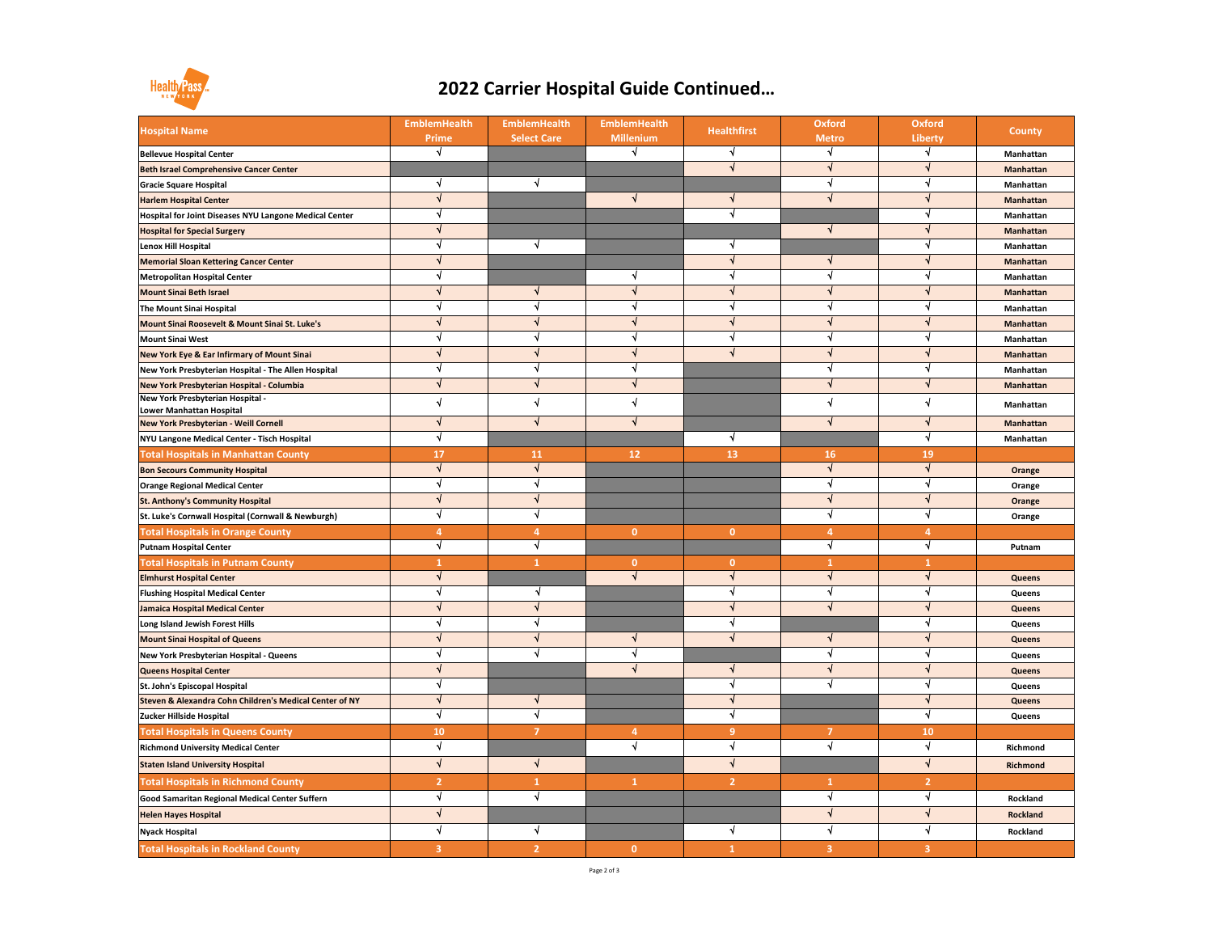| <b>Hospital Name</b>                                          | <b>EmblemHealth</b><br><b>Prime</b> | <b>EmblemHealth</b><br><b>Select Care</b> | <b>EmblemHealth</b><br><b>Millenium</b> | <b>Healthfirst</b> | <b>Oxford</b><br><b>Metro</b> | <b>Oxford</b><br><b>Liberty</b> | <b>County</b>    |
|---------------------------------------------------------------|-------------------------------------|-------------------------------------------|-----------------------------------------|--------------------|-------------------------------|---------------------------------|------------------|
| <b>Bellevue Hospital Center</b>                               |                                     |                                           |                                         |                    |                               |                                 | Manhattan        |
| <b>Beth Israel Comprehensive Cancer Center</b>                |                                     |                                           |                                         |                    |                               |                                 | <b>Manhattan</b> |
| <b>Gracie Square Hospital</b>                                 |                                     |                                           |                                         |                    |                               |                                 | Manhattan        |
| <b>Harlem Hospital Center</b>                                 |                                     |                                           |                                         |                    |                               |                                 | <b>Manhattan</b> |
| <b>Hospital for Joint Diseases NYU Langone Medical Center</b> |                                     |                                           |                                         |                    |                               |                                 | Manhattan        |
| <b>Hospital for Special Surgery</b>                           |                                     |                                           |                                         |                    |                               |                                 | <b>Manhattan</b> |
| <b>Lenox Hill Hospital</b>                                    |                                     |                                           |                                         |                    |                               |                                 | Manhattan        |
| <b>Memorial Sloan Kettering Cancer Center</b>                 |                                     |                                           |                                         |                    |                               |                                 | <b>Manhattan</b> |
| <b>Metropolitan Hospital Center</b>                           |                                     |                                           |                                         |                    |                               |                                 | Manhattan        |
| <b>Mount Sinai Beth Israel</b>                                |                                     |                                           |                                         |                    |                               |                                 | <b>Manhattan</b> |
| <b>The Mount Sinai Hospital</b>                               |                                     |                                           |                                         |                    |                               |                                 | Manhattan        |
| Mount Sinai Roosevelt & Mount Sinai St. Luke's                |                                     |                                           |                                         |                    |                               |                                 | <b>Manhattan</b> |
| <b>Mount Sinai West</b>                                       |                                     |                                           |                                         |                    |                               |                                 | Manhattan        |
| <b>New York Eye &amp; Ear Infirmary of Mount Sinai</b>        |                                     |                                           |                                         |                    |                               |                                 | <b>Manhattan</b> |
| New York Presbyterian Hospital - The Allen Hospital           |                                     |                                           |                                         |                    |                               |                                 | Manhattan        |
| New York Presbyterian Hospital - Columbia                     |                                     |                                           |                                         |                    |                               |                                 | <b>Manhattan</b> |
| New York Presbyterian Hospital -<br>Lower Manhattan Hospital  |                                     |                                           |                                         |                    |                               |                                 | Manhattan        |
| New York Presbyterian - Weill Cornell                         |                                     |                                           |                                         |                    |                               |                                 | Manhattan        |
| NYU Langone Medical Center - Tisch Hospital                   |                                     |                                           |                                         |                    |                               |                                 | Manhattan        |
| <b>Total Hospitals in Manhattan County</b>                    | 17                                  | <b>11</b>                                 | 12                                      | <b>13</b>          | <b>16</b>                     | <b>19</b>                       |                  |
| <b>Bon Secours Community Hospital</b>                         |                                     |                                           |                                         |                    |                               |                                 | Orange           |
| <b>Orange Regional Medical Center</b>                         |                                     |                                           |                                         |                    |                               |                                 | Orange           |
| <b>St. Anthony's Community Hospital</b>                       |                                     |                                           |                                         |                    |                               |                                 | <b>Orange</b>    |
| St. Luke's Cornwall Hospital (Cornwall & Newburgh)            |                                     |                                           |                                         |                    |                               |                                 | Orange           |
| <b>Total Hospitals in Orange County</b>                       |                                     |                                           | $\mathbf{0}$                            | $\mathbf{0}$       |                               |                                 |                  |
| <b>Putnam Hospital Center</b>                                 |                                     |                                           |                                         |                    |                               |                                 | Putnam           |
| <b>Total Hospitals in Putnam County</b>                       |                                     |                                           | $\bf{0}$                                | $\mathbf{0}$       |                               |                                 |                  |
| <b>Elmhurst Hospital Center</b>                               |                                     |                                           |                                         |                    |                               |                                 | <b>Queens</b>    |
| <b>Flushing Hospital Medical Center</b>                       |                                     |                                           |                                         |                    |                               |                                 | <b>Queens</b>    |
| Jamaica Hospital Medical Center                               |                                     |                                           |                                         |                    |                               |                                 | <b>Queens</b>    |
| Long Island Jewish Forest Hills                               |                                     |                                           |                                         |                    |                               |                                 | <b>Queens</b>    |
| <b>Mount Sinai Hospital of Queens</b>                         |                                     |                                           |                                         |                    |                               |                                 | <b>Queens</b>    |
| New York Presbyterian Hospital - Queens                       |                                     |                                           |                                         |                    |                               |                                 | <b>Queens</b>    |
| <b>Queens Hospital Center</b>                                 |                                     |                                           |                                         |                    |                               |                                 | <b>Queens</b>    |
| <b>St. John's Episcopal Hospital</b>                          |                                     |                                           |                                         |                    |                               |                                 | <b>Queens</b>    |
| Steven & Alexandra Cohn Children's Medical Center of NY       |                                     |                                           |                                         |                    |                               |                                 | <b>Queens</b>    |
| Zucker Hillside Hospital                                      |                                     |                                           |                                         |                    |                               |                                 | Queens           |
| <b>Total Hospitals in Queens County</b>                       | <b>10</b>                           |                                           | 4                                       |                    |                               | <b>10</b>                       |                  |
| <b>Richmond University Medical Center</b>                     |                                     |                                           |                                         |                    |                               |                                 | Richmond         |
| <b>Staten Island University Hospital</b>                      |                                     |                                           |                                         |                    |                               |                                 | Richmond         |
| <b>Total Hospitals in Richmond County</b>                     |                                     |                                           |                                         |                    |                               |                                 |                  |
| Good Samaritan Regional Medical Center Suffern                |                                     |                                           |                                         |                    |                               |                                 | <b>Rockland</b>  |
| <b>Helen Hayes Hospital</b>                                   |                                     |                                           |                                         |                    |                               |                                 | <b>Rockland</b>  |
| Nyack Hospital                                                |                                     |                                           |                                         |                    |                               |                                 | Rockland         |
| <b>Total Hospitals in Rockland County</b>                     | $\mathbf{3}$                        |                                           | $\mathbf{0}$                            |                    |                               | $\mathbf{3}$                    |                  |



## **2022 Carrier Hospital Guide Continued…**